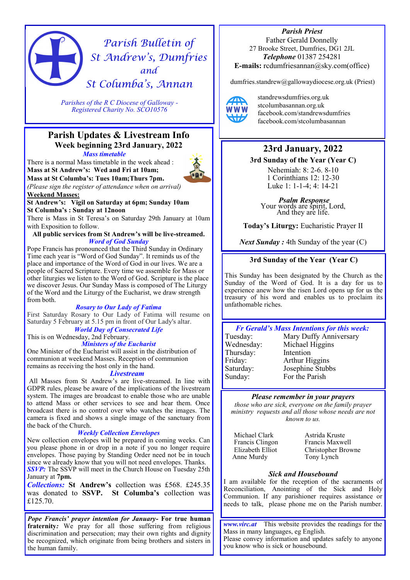# *Parish Bulletin of St Andrew's, Dumfries and St Columba's, Annan*

*Parishes of the R C Diocese of Galloway - Registered Charity No. SCO10576* 

# **Parish Updates & Livestream Info Week beginning 23rd January, 2022**

*Mass timetable*

There is a normal Mass timetable in the week ahead : **Mass at St Andrew's: Wed and Fri at 10am;** 



**Mass at St Columba's: Tues 10am;Thurs 7pm.** *(Please sign the register of attendance when on arrival)* **Weekend Masses:** 

**St Andrew's: Vigil on Saturday at 6pm; Sunday 10am St Columba's : Sunday at 12noon**

There is Mass in St Teresa's on Saturday 29th January at 10am with Exposition to follow.

# **All public services from St Andrew's will be live-streamed.**  *Word of God Sunday*

Pope Francis has pronounced that the Third Sunday in Ordinary Time each year is "Word of God Sunday". It reminds us of the place and importance of the Word of God in our lives. We are a people of Sacred Scripture. Every time we assemble for Mass or other liturgies we listen to the Word of God. Scripture is the place we discover Jesus. Our Sunday Mass is composed of The Liturgy of the Word and the Liturgy of the Eucharist, we draw strength from both.

## *Rosary to Our Lady of Fatima*

First Saturday Rosary to Our Lady of Fatima will resume on Saturday 5 February at 5.15 pm in front of Our Lady's altar.

*World Day of Consecrated Life* This is on Wednesday, 2nd February.

*Ministers of the Eucharist* One Minister of the Eucharist will assist in the distribution of communion at weekend Masses. Reception of communion remains as receiving the host only in the hand.

#### *Livestream*

All Masses from St Andrew's are live-streamed. In line with GDPR rules, please be aware of the implications of the livestream system. The images are broadcast to enable those who are unable to attend Mass or other services to see and hear them. Once broadcast there is no control over who watches the images. The camera is fixed and shows a single image of the sanctuary from the back of the Church.

# *Weekly Collection Envelopes*

New collection envelopes will be prepared in coming weeks. Can you please phone in or drop in a note if you no longer require envelopes. Those paying by Standing Order need not be in touch since we already know that you will not need envelopes. Thanks. **SSVP:** The SSVP will meet in the Church House on Tuesday 25th January at **7pm.**

*Collections:* **St Andrew's** collection was £568. £245.35 was donated to **SSVP. St Columba's** collection was £125.70.

*Pope Francis' prayer intention for January-* **For true human fraternity***:* We pray for all those suffering from religious discrimination and persecution; may their own rights and dignity be recognized, which originate from being brothers and sisters in the human family.

*Parish Priest*  Father Gerald Donnelly 27 Brooke Street, Dumfries, DG1 2JL *Telephone* 01387 254281 **E-mails:** rcdumfriesannan@sky.com(office)

dumfries.standrew@gallowaydiocese.org.uk (Priest)



standrewsdumfries.org.uk stcolumbasannan.org.uk facebook.com/standrewsdumfries facebook.com/stcolumbasannan

# **23rd January, 2022**

**3rd Sunday of the Year (Year C)**

Nehemiah: 8: 2-6. 8-10 1 Corinthians 12: 12-30 Luke 1: 1-1-4; 4: 14-21

*Psalm Response*  Your words are spirit, Lord, And they are life.

**Today's Liturgy:** Eucharistic Prayer II

*Next Sunday :* 4th Sunday of the year (C)

# **3rd Sunday of the Year (Year C)**

This Sunday has been designated by the Church as the Sunday of the Word of God. It is a day for us to experience anew how the risen Lord opens up for us the treasury of his word and enables us to proclaim its unfathomable riches.



# *Please remember in your prayers*

*those who are sick, everyone on the family prayer ministry requests and all those whose needs are not known to us.* 

Michael Clark Francis Clingon Elizabeth Elliot Anne Murdy

Astrida Kruste Francis Maxwell Christopher Browne Tony Lynch

# *Sick and Housebound*

I am available for the reception of the sacraments of Reconciliation, Anointing of the Sick and Holy Communion. If any parishioner requires assistance or needs to talk, please phone me on the Parish number.

*www.virc.at* This website provides the readings for the Mass in many languages, eg English. Please convey information and updates safely to anyone you know who is sick or housebound.